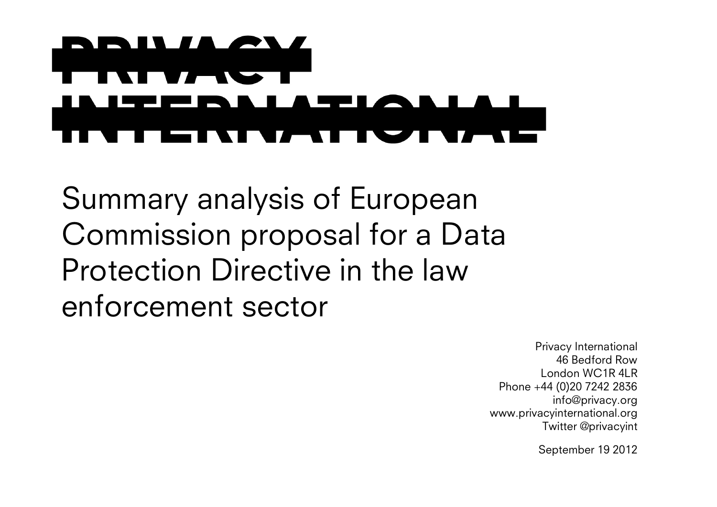## ľ

Summary analysis of European Commission proposal for a Data Protection Directive in the law enforcement sector

> Privacy International 46 Bedford Row London WC1R 4LR Phone +44 (0)20 7242 2836 info@privacy.org www.privacyinternational.org Twitter @privacyint

> > September 19 2012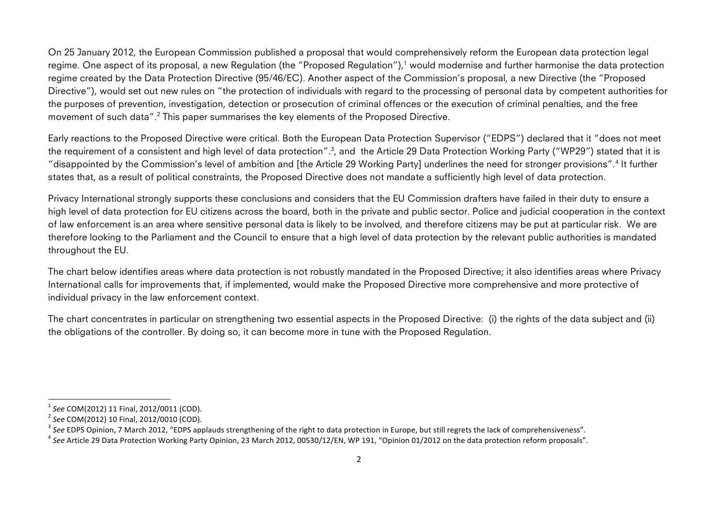On 25 January 2012, the European Commission published a proposal that would comprehensively reform the European data protection legal regime. One aspect of its proposal, a new Regulation (the "Proposed Regulation"),<sup>1</sup> would modernise and further harmonise the data protection regime created by the Data Protection Directive (95/46/EC). Another aspect of the Commission's proposal, a new Directive (the "Proposed Directive"), would set out new rules on "the protection of individuals with regard to the processing of personal data by competent authorities for the purposes of prevention, investigation, detection or prosecution of criminal offences or the execution of criminal penalties, and the free movement of such data". <sup>2</sup> This paper summarises the key elements of the Proposed Directive.

Early reactions to the Proposed Directive were critical. Both the European Data Protection Supervisor ("EDPS") declared that it "does not meet the requirement of a consistent and high level of data protection".<sup>3</sup>, and the Article 29 Data Protection Working Party ("WP29") stated that it is "disappointed by the Commission's level of ambition and [the Article 29 Working Party] underlines the need for stronger provisions". <sup>4</sup> It further states that, as a result of political constraints, the Proposed Directive does not mandate a sufficiently high level of data protection.

Privacy International strongly supports these conclusions and considers that the EU Commission drafters have failed in their duty to ensure a high level of data protection for EU citizens across the board, both in the private and public sector. Police and judicial cooperation in the context of law enforcement is an area where sensitive personal data is likely to be involved, and therefore citizens may be put at particular risk. We are therefore looking to the Parliament and the Council to ensure that a high level of data protection by the relevant public authorities is mandated throughout the EU.

The chart below identifies areas where data protection is not robustly mandated in the Proposed Directive; it also identifies areas where Privacy International calls for improvements that, if implemented, would make the Proposed Directive more comprehensive and more protective of individual privacy in the law enforcement context.

The chart concentrates in particular on strengthening two essential aspects in the Proposed Directive: (i) the rights of the data subject and (ii) the obligations of the controller. By doing so, it can become more in tune with the Proposed Regulation.

<sup>&</sup>lt;sup>1</sup> See COM(2012) 11 Final, 2012/0011 (COD).<br>
<sup>2</sup> See COM(2012) 10 Final, 2012/0010 (COD).<br>
<sup>3</sup> See EDPS Opinion, 7 March 2012, "EDPS applauds strengthening of the right to data protection in Europe, but still regrets the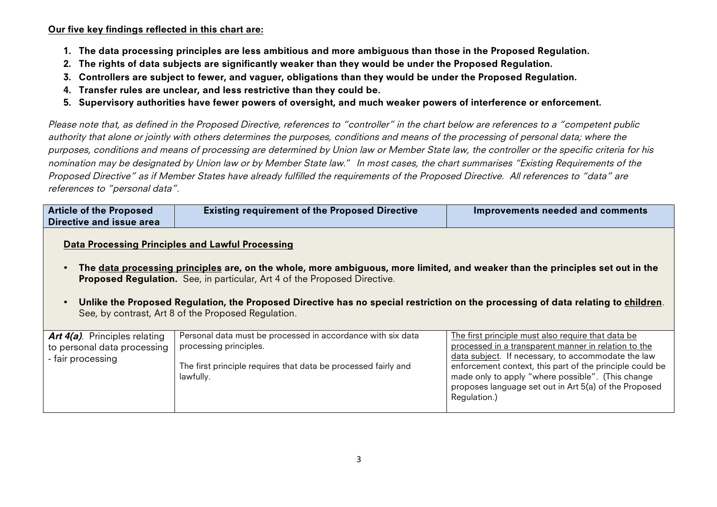Our five key findings reflected in this chart are:

- 1. The data processing principles are less ambitious and more ambiguous than those in the Proposed Regulation.
- 2. The rights of data subjects are significantly weaker than they would be under the Proposed Regulation.
- 3. Controllers are subject to fewer, and vaguer, obligations than they would be under the Proposed Regulation.
- 4. Transfer rules are unclear, and less restrictive than they could be.
- 5. Supervisory authorities have fewer powers of oversight, and much weaker powers of interference or enforcement.

Please note that, as defined in the Proposed Directive, references to "controller" in the chart below are references to a "competent public authority that alone or jointly with others determines the purposes, conditions and means of the processing of personal data; where the purposes, conditions and means of processing are determined by Union law or Member State law, the controller or the specific criteria for his nomination may be designated by Union law or by Member State law." In most cases, the chart summarises "Existing Requirements of the Proposed Directive" as if Member States have already fulfilled the requirements of the Proposed Directive. All references to "data" are references to "personal data".

| <b>Article of the Proposed</b><br>Directive and issue area | <b>Existing requirement of the Proposed Directive</b> | Improvements needed and comments |
|------------------------------------------------------------|-------------------------------------------------------|----------------------------------|
|                                                            |                                                       |                                  |

Data Processing Principles and Lawful Processing

- The data processing principles are, on the whole, more ambiguous, more limited, and weaker than the principles set out in the Proposed Regulation. See, in particular, Art 4 of the Proposed Directive.
- Unlike the Proposed Regulation, the Proposed Directive has no special restriction on the processing of data relating to children. See, by contrast, Art 8 of the Proposed Regulation.

| <b>Art 4(a)</b> . Principles relating<br>to personal data processing<br>- fair processing | Personal data must be processed in accordance with six data<br>processing principles. | The first principle must also require that data be<br>processed in a transparent manner in relation to the<br>data subject. If necessary, to accommodate the law                       |
|-------------------------------------------------------------------------------------------|---------------------------------------------------------------------------------------|----------------------------------------------------------------------------------------------------------------------------------------------------------------------------------------|
|                                                                                           | The first principle requires that data be processed fairly and<br>lawfully.           | enforcement context, this part of the principle could be<br>made only to apply "where possible". (This change<br>proposes language set out in Art 5(a) of the Proposed<br>Regulation.) |
|                                                                                           |                                                                                       |                                                                                                                                                                                        |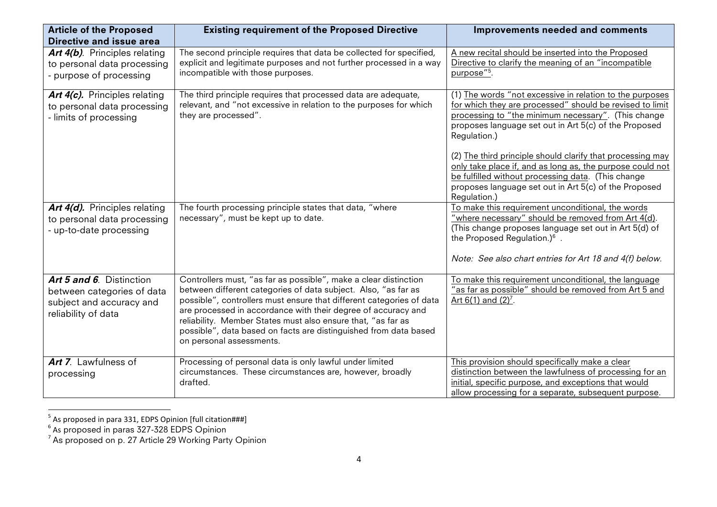| <b>Article of the Proposed</b><br>Directive and issue area                                                | <b>Existing requirement of the Proposed Directive</b>                                                                                                                                                                                                                                                                                                                                                                                       | <b>Improvements needed and comments</b>                                                                                                                                                                                                                        |
|-----------------------------------------------------------------------------------------------------------|---------------------------------------------------------------------------------------------------------------------------------------------------------------------------------------------------------------------------------------------------------------------------------------------------------------------------------------------------------------------------------------------------------------------------------------------|----------------------------------------------------------------------------------------------------------------------------------------------------------------------------------------------------------------------------------------------------------------|
| <b>Art 4(b)</b> . Principles relating<br>to personal data processing<br>- purpose of processing           | The second principle requires that data be collected for specified,<br>explicit and legitimate purposes and not further processed in a way<br>incompatible with those purposes.                                                                                                                                                                                                                                                             | A new recital should be inserted into the Proposed<br>Directive to clarify the meaning of an "incompatible<br>purpose" <sup>5</sup> .                                                                                                                          |
| Art 4(c). Principles relating<br>to personal data processing<br>- limits of processing                    | The third principle requires that processed data are adequate,<br>relevant, and "not excessive in relation to the purposes for which<br>they are processed".                                                                                                                                                                                                                                                                                | (1) The words "not excessive in relation to the purposes<br>for which they are processed" should be revised to limit<br>processing to "the minimum necessary". (This change<br>proposes language set out in Art 5(c) of the Proposed<br>Regulation.)           |
|                                                                                                           |                                                                                                                                                                                                                                                                                                                                                                                                                                             | (2) The third principle should clarify that processing may<br>only take place if, and as long as, the purpose could not<br>be fulfilled without processing data. (This change<br>proposes language set out in Art 5(c) of the Proposed<br>Regulation.)         |
| <b>Art 4(d).</b> Principles relating<br>to personal data processing<br>- up-to-date processing            | The fourth processing principle states that data, "where<br>necessary", must be kept up to date.                                                                                                                                                                                                                                                                                                                                            | To make this requirement unconditional, the words<br>"where necessary" should be removed from Art 4(d).<br>(This change proposes language set out in Art 5(d) of<br>the Proposed Regulation.) $6$ .<br>Note: See also chart entries for Art 18 and 4(f) below. |
| Art 5 and 6. Distinction<br>between categories of data<br>subject and accuracy and<br>reliability of data | Controllers must, "as far as possible", make a clear distinction<br>between different categories of data subject. Also, "as far as<br>possible", controllers must ensure that different categories of data<br>are processed in accordance with their degree of accuracy and<br>reliability. Member States must also ensure that, "as far as<br>possible", data based on facts are distinguished from data based<br>on personal assessments. | To make this requirement unconditional, the language<br>"as far as possible" should be removed from Art 5 and<br>Art $6(1)$ and $(2)^7$ .                                                                                                                      |
| <b>Art 7.</b> Lawfulness of<br>processing                                                                 | Processing of personal data is only lawful under limited<br>circumstances. These circumstances are, however, broadly<br>drafted.                                                                                                                                                                                                                                                                                                            | This provision should specifically make a clear<br>distinction between the lawfulness of processing for an<br>initial, specific purpose, and exceptions that would<br>allow processing for a separate, subsequent purpose.                                     |

 $^5$  As proposed in para 331, EDPS Opinion [full citation###]

 $^{\rm 6}$  As proposed in paras 327-328 EDPS Opinion<br><sup>7</sup> As proposed on p. 27 Article 29 Working Party Opinion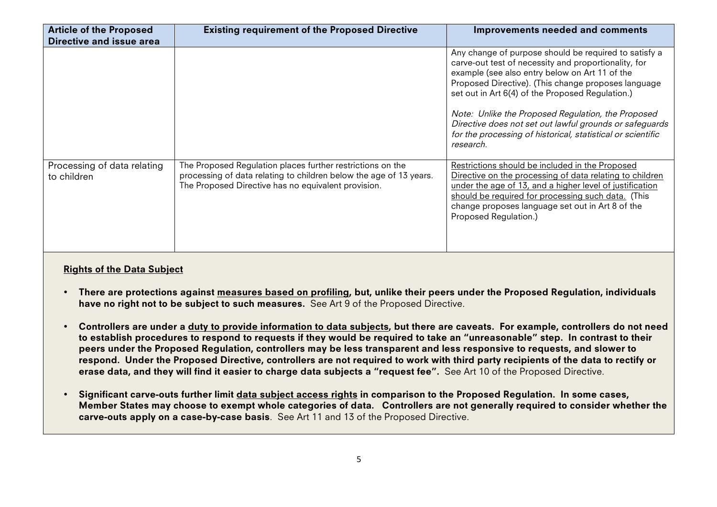| <b>Article of the Proposed</b><br>Directive and issue area | <b>Existing requirement of the Proposed Directive</b>                                                                                                                                   | Improvements needed and comments                                                                                                                                                                                                                                                                                                                                                                                                                                        |
|------------------------------------------------------------|-----------------------------------------------------------------------------------------------------------------------------------------------------------------------------------------|-------------------------------------------------------------------------------------------------------------------------------------------------------------------------------------------------------------------------------------------------------------------------------------------------------------------------------------------------------------------------------------------------------------------------------------------------------------------------|
|                                                            |                                                                                                                                                                                         | Any change of purpose should be required to satisfy a<br>carve-out test of necessity and proportionality, for<br>example (see also entry below on Art 11 of the<br>Proposed Directive). (This change proposes language<br>set out in Art 6(4) of the Proposed Regulation.)<br>Note: Unlike the Proposed Regulation, the Proposed<br>Directive does not set out lawful grounds or safeguards<br>for the processing of historical, statistical or scientific<br>research. |
| Processing of data relating<br>to children                 | The Proposed Regulation places further restrictions on the<br>processing of data relating to children below the age of 13 years.<br>The Proposed Directive has no equivalent provision. | Restrictions should be included in the Proposed<br>Directive on the processing of data relating to children<br>under the age of 13, and a higher level of justification<br>should be required for processing such data. (This<br>change proposes language set out in Art 8 of the<br>Proposed Regulation.)                                                                                                                                                              |

## Rights of the Data Subject

- There are protections against measures based on profiling, but, unlike their peers under the Proposed Regulation, individuals have no right not to be subject to such measures. See Art 9 of the Proposed Directive.
- Controllers are under a duty to provide information to data subjects, but there are caveats. For example, controllers do not need to establish procedures to respond to requests if they would be required to take an "unreasonable" step. In contrast to their peers under the Proposed Regulation, controllers may be less transparent and less responsive to requests, and slower to respond. Under the Proposed Directive, controllers are not required to work with third party recipients of the data to rectify or erase data, and they will find it easier to charge data subjects a "request fee". See Art 10 of the Proposed Directive.
- Significant carve-outs further limit data subject access rights in comparison to the Proposed Regulation. In some cases, Member States may choose to exempt whole categories of data. Controllers are not generally required to consider whether the carve-outs apply on a case-by-case basis. See Art 11 and 13 of the Proposed Directive.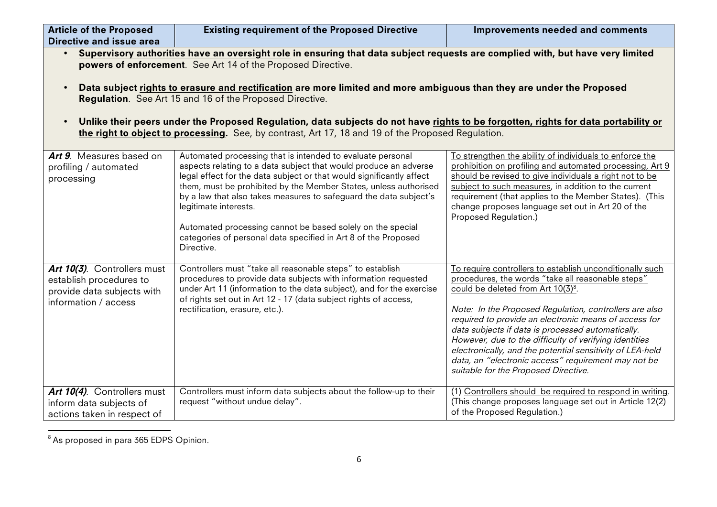| <b>Article of the Proposed</b><br>Directive and issue area                                                                                                                                                                                                                                                                                                                                                                                                                                                                                                                                                                                   | <b>Existing requirement of the Proposed Directive</b>                                                                                                                                                                                                                                                                                                                                                                                                                                                                  | <b>Improvements needed and comments</b>                                                                                                                                                                                                                                                                                                                                                                                                                                                                                                                       |
|----------------------------------------------------------------------------------------------------------------------------------------------------------------------------------------------------------------------------------------------------------------------------------------------------------------------------------------------------------------------------------------------------------------------------------------------------------------------------------------------------------------------------------------------------------------------------------------------------------------------------------------------|------------------------------------------------------------------------------------------------------------------------------------------------------------------------------------------------------------------------------------------------------------------------------------------------------------------------------------------------------------------------------------------------------------------------------------------------------------------------------------------------------------------------|---------------------------------------------------------------------------------------------------------------------------------------------------------------------------------------------------------------------------------------------------------------------------------------------------------------------------------------------------------------------------------------------------------------------------------------------------------------------------------------------------------------------------------------------------------------|
| Supervisory authorities have an oversight role in ensuring that data subject requests are complied with, but have very limited<br>powers of enforcement. See Art 14 of the Proposed Directive.<br>Data subject rights to erasure and rectification are more limited and more ambiguous than they are under the Proposed<br>Regulation. See Art 15 and 16 of the Proposed Directive.<br>Unlike their peers under the Proposed Regulation, data subjects do not have rights to be forgotten, rights for data portability or<br>$\bullet$<br>the right to object to processing. See, by contrast, Art 17, 18 and 19 of the Proposed Regulation. |                                                                                                                                                                                                                                                                                                                                                                                                                                                                                                                        |                                                                                                                                                                                                                                                                                                                                                                                                                                                                                                                                                               |
| Art 9. Measures based on<br>profiling / automated<br>processing                                                                                                                                                                                                                                                                                                                                                                                                                                                                                                                                                                              | Automated processing that is intended to evaluate personal<br>aspects relating to a data subject that would produce an adverse<br>legal effect for the data subject or that would significantly affect<br>them, must be prohibited by the Member States, unless authorised<br>by a law that also takes measures to safeguard the data subject's<br>legitimate interests.<br>Automated processing cannot be based solely on the special<br>categories of personal data specified in Art 8 of the Proposed<br>Directive. | To strengthen the ability of individuals to enforce the<br>prohibition on profiling and automated processing, Art 9<br>should be revised to give individuals a right not to be<br>subject to such measures, in addition to the current<br>requirement (that applies to the Member States). (This<br>change proposes language set out in Art 20 of the<br>Proposed Regulation.)                                                                                                                                                                                |
| Art 10(3). Controllers must<br>establish procedures to<br>provide data subjects with<br>information / access                                                                                                                                                                                                                                                                                                                                                                                                                                                                                                                                 | Controllers must "take all reasonable steps" to establish<br>procedures to provide data subjects with information requested<br>under Art 11 (information to the data subject), and for the exercise<br>of rights set out in Art 12 - 17 (data subject rights of access,<br>rectification, erasure, etc.).                                                                                                                                                                                                              | To require controllers to establish unconditionally such<br>procedures, the words "take all reasonable steps"<br>could be deleted from Art 10(3) <sup>8</sup> .<br>Note: In the Proposed Regulation, controllers are also<br>required to provide an electronic means of access for<br>data subjects if data is processed automatically.<br>However, due to the difficulty of verifying identities<br>electronically, and the potential sensitivity of LEA-held<br>data, an "electronic access" requirement may not be<br>suitable for the Proposed Directive. |
| Art 10(4). Controllers must<br>inform data subjects of<br>actions taken in respect of                                                                                                                                                                                                                                                                                                                                                                                                                                                                                                                                                        | Controllers must inform data subjects about the follow-up to their<br>request "without undue delay".                                                                                                                                                                                                                                                                                                                                                                                                                   | (1) Controllers should be required to respond in writing.<br>(This change proposes language set out in Article 12(2)<br>of the Proposed Regulation.)                                                                                                                                                                                                                                                                                                                                                                                                          |

<sup>&</sup>quot;""""""""""""""""""""""""""""""""""""""""""""""""""""""""""" <sup>8</sup> As proposed in para 365 EDPS Opinion.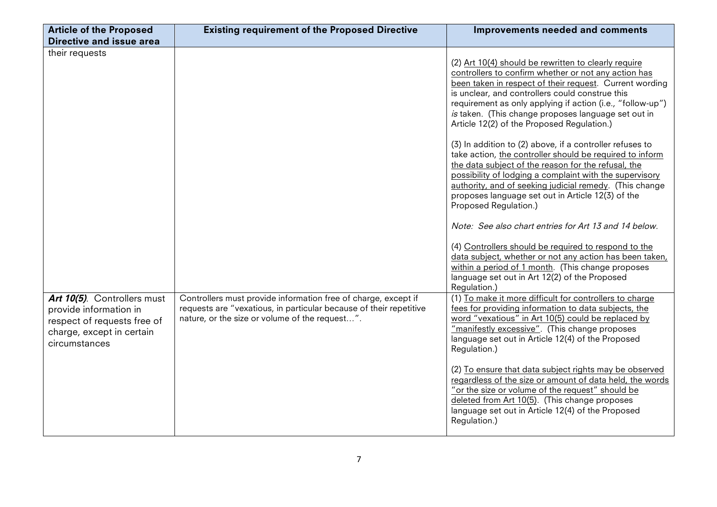| <b>Article of the Proposed</b>                                                                                                     | <b>Existing requirement of the Proposed Directive</b>                                                                                                                                  | Improvements needed and comments                                                                                                                                                                                                                                                                                                                                                              |
|------------------------------------------------------------------------------------------------------------------------------------|----------------------------------------------------------------------------------------------------------------------------------------------------------------------------------------|-----------------------------------------------------------------------------------------------------------------------------------------------------------------------------------------------------------------------------------------------------------------------------------------------------------------------------------------------------------------------------------------------|
| Directive and issue area                                                                                                           |                                                                                                                                                                                        |                                                                                                                                                                                                                                                                                                                                                                                               |
| their requests                                                                                                                     |                                                                                                                                                                                        | (2) Art 10(4) should be rewritten to clearly require<br>controllers to confirm whether or not any action has<br>been taken in respect of their request. Current wording<br>is unclear, and controllers could construe this<br>requirement as only applying if action (i.e., "follow-up")<br>is taken. (This change proposes language set out in<br>Article 12(2) of the Proposed Regulation.) |
|                                                                                                                                    |                                                                                                                                                                                        | (3) In addition to (2) above, if a controller refuses to<br>take action, the controller should be required to inform<br>the data subject of the reason for the refusal, the<br>possibility of lodging a complaint with the supervisory<br>authority, and of seeking judicial remedy. (This change<br>proposes language set out in Article 12(3) of the<br>Proposed Regulation.)               |
|                                                                                                                                    |                                                                                                                                                                                        | Note: See also chart entries for Art 13 and 14 below.<br>(4) Controllers should be required to respond to the<br>data subject, whether or not any action has been taken,<br>within a period of 1 month. (This change proposes<br>language set out in Art 12(2) of the Proposed<br>Regulation.)                                                                                                |
| Art 10(5). Controllers must<br>provide information in<br>respect of requests free of<br>charge, except in certain<br>circumstances | Controllers must provide information free of charge, except if<br>requests are "vexatious, in particular because of their repetitive<br>nature, or the size or volume of the request". | (1) To make it more difficult for controllers to charge<br>fees for providing information to data subjects, the<br>word "vexatious" in Art 10(5) could be replaced by<br>"manifestly excessive". (This change proposes<br>language set out in Article 12(4) of the Proposed<br>Regulation.)                                                                                                   |
|                                                                                                                                    |                                                                                                                                                                                        | (2) To ensure that data subject rights may be observed<br>regardless of the size or amount of data held, the words<br>"or the size or volume of the request" should be<br>deleted from Art 10(5). (This change proposes<br>language set out in Article 12(4) of the Proposed<br>Regulation.)                                                                                                  |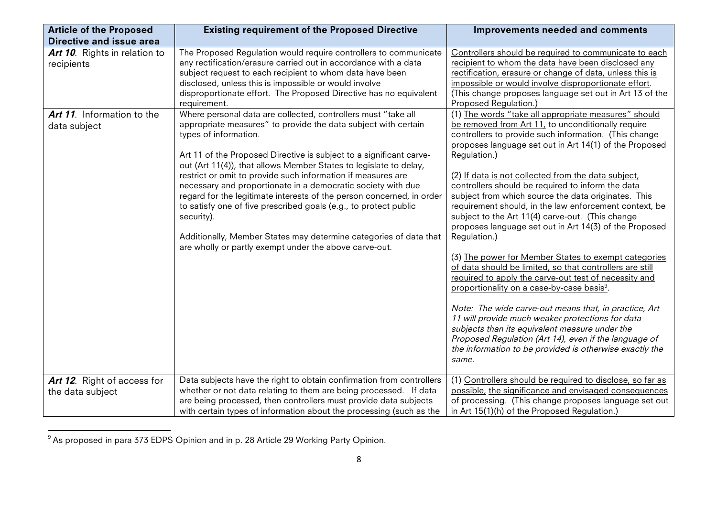| <b>Article of the Proposed</b>                                                                                               | <b>Existing requirement of the Proposed Directive</b>                                                                                                                                                                                                                                                                                                                                                                                                                                                                                                                                                                                                                                                                                                                                                                                                                                                                                                                                                                                                                           | Improvements needed and comments                                                                                                                                                                                                                                                                                                                                                                                                                                                                                                                                                                                                                                                                                                                                                                                                                                                                                                                                                                                                                                                                                                                                                                                                |
|------------------------------------------------------------------------------------------------------------------------------|---------------------------------------------------------------------------------------------------------------------------------------------------------------------------------------------------------------------------------------------------------------------------------------------------------------------------------------------------------------------------------------------------------------------------------------------------------------------------------------------------------------------------------------------------------------------------------------------------------------------------------------------------------------------------------------------------------------------------------------------------------------------------------------------------------------------------------------------------------------------------------------------------------------------------------------------------------------------------------------------------------------------------------------------------------------------------------|---------------------------------------------------------------------------------------------------------------------------------------------------------------------------------------------------------------------------------------------------------------------------------------------------------------------------------------------------------------------------------------------------------------------------------------------------------------------------------------------------------------------------------------------------------------------------------------------------------------------------------------------------------------------------------------------------------------------------------------------------------------------------------------------------------------------------------------------------------------------------------------------------------------------------------------------------------------------------------------------------------------------------------------------------------------------------------------------------------------------------------------------------------------------------------------------------------------------------------|
| <b>Directive and issue area</b><br>Art 10. Rights in relation to<br>recipients<br>Art 11. Information to the<br>data subject | The Proposed Regulation would require controllers to communicate<br>any rectification/erasure carried out in accordance with a data<br>subject request to each recipient to whom data have been<br>disclosed, unless this is impossible or would involve<br>disproportionate effort. The Proposed Directive has no equivalent<br>requirement.<br>Where personal data are collected, controllers must "take all<br>appropriate measures" to provide the data subject with certain<br>types of information.<br>Art 11 of the Proposed Directive is subject to a significant carve-<br>out (Art 11(4)), that allows Member States to legislate to delay,<br>restrict or omit to provide such information if measures are<br>necessary and proportionate in a democratic society with due<br>regard for the legitimate interests of the person concerned, in order<br>to satisfy one of five prescribed goals (e.g., to protect public<br>security).<br>Additionally, Member States may determine categories of data that<br>are wholly or partly exempt under the above carve-out. | Controllers should be required to communicate to each<br>recipient to whom the data have been disclosed any<br>rectification, erasure or change of data, unless this is<br>impossible or would involve disproportionate effort.<br>(This change proposes language set out in Art 13 of the<br>Proposed Regulation.)<br>(1) The words "take all appropriate measures" should<br>be removed from Art 11, to unconditionally require<br>controllers to provide such information. (This change<br>proposes language set out in Art 14(1) of the Proposed<br>Regulation.)<br>(2) If data is not collected from the data subject,<br>controllers should be required to inform the data<br>subject from which source the data originates. This<br>requirement should, in the law enforcement context, be<br>subject to the Art 11(4) carve-out. (This change<br>proposes language set out in Art 14(3) of the Proposed<br>Regulation.)<br>(3) The power for Member States to exempt categories<br>of data should be limited, so that controllers are still<br>required to apply the carve-out test of necessity and<br>proportionality on a case-by-case basis <sup>9</sup> .<br>Note: The wide carve-out means that, in practice, Art |
|                                                                                                                              |                                                                                                                                                                                                                                                                                                                                                                                                                                                                                                                                                                                                                                                                                                                                                                                                                                                                                                                                                                                                                                                                                 | 11 will provide much weaker protections for data<br>subjects than its equivalent measure under the<br>Proposed Regulation (Art 14), even if the language of<br>the information to be provided is otherwise exactly the<br>same.                                                                                                                                                                                                                                                                                                                                                                                                                                                                                                                                                                                                                                                                                                                                                                                                                                                                                                                                                                                                 |
| Art 12. Right of access for<br>the data subject                                                                              | Data subjects have the right to obtain confirmation from controllers<br>whether or not data relating to them are being processed. If data<br>are being processed, then controllers must provide data subjects<br>with certain types of information about the processing (such as the                                                                                                                                                                                                                                                                                                                                                                                                                                                                                                                                                                                                                                                                                                                                                                                            | (1) Controllers should be required to disclose, so far as<br>possible, the significance and envisaged consequences<br>of processing. (This change proposes language set out<br>in Art 15(1)(h) of the Proposed Regulation.)                                                                                                                                                                                                                                                                                                                                                                                                                                                                                                                                                                                                                                                                                                                                                                                                                                                                                                                                                                                                     |

<sup>&</sup>quot;"""""""""""""""""""""""""""""""""""""""""""""""""""""""""""  $^9$  As proposed in para 373 EDPS Opinion and in p. 28 Article 29 Working Party Opinion.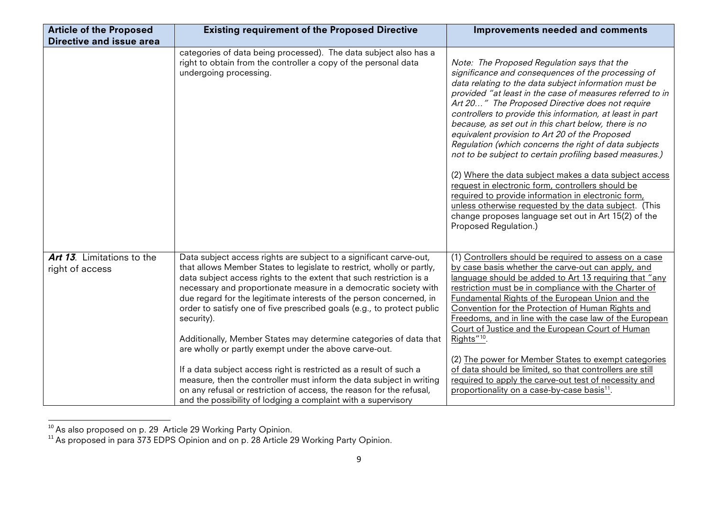| <b>Article of the Proposed</b>                | <b>Existing requirement of the Proposed Directive</b>                                                                                                                                                                                                                                                                                                                                                                                                                                                                                                                                                                                                                                                                                                                                                                                                                       | Improvements needed and comments                                                                                                                                                                                                                                                                                                                                                                                                                                                                                                                                                                                                                                                                                                                                                                                                                                                      |
|-----------------------------------------------|-----------------------------------------------------------------------------------------------------------------------------------------------------------------------------------------------------------------------------------------------------------------------------------------------------------------------------------------------------------------------------------------------------------------------------------------------------------------------------------------------------------------------------------------------------------------------------------------------------------------------------------------------------------------------------------------------------------------------------------------------------------------------------------------------------------------------------------------------------------------------------|---------------------------------------------------------------------------------------------------------------------------------------------------------------------------------------------------------------------------------------------------------------------------------------------------------------------------------------------------------------------------------------------------------------------------------------------------------------------------------------------------------------------------------------------------------------------------------------------------------------------------------------------------------------------------------------------------------------------------------------------------------------------------------------------------------------------------------------------------------------------------------------|
| Directive and issue area                      |                                                                                                                                                                                                                                                                                                                                                                                                                                                                                                                                                                                                                                                                                                                                                                                                                                                                             |                                                                                                                                                                                                                                                                                                                                                                                                                                                                                                                                                                                                                                                                                                                                                                                                                                                                                       |
|                                               | categories of data being processed). The data subject also has a<br>right to obtain from the controller a copy of the personal data<br>undergoing processing.                                                                                                                                                                                                                                                                                                                                                                                                                                                                                                                                                                                                                                                                                                               | Note: The Proposed Regulation says that the<br>significance and consequences of the processing of<br>data relating to the data subject information must be<br>provided "at least in the case of measures referred to in<br>Art 20" The Proposed Directive does not require<br>controllers to provide this information, at least in part<br>because, as set out in this chart below, there is no<br>equivalent provision to Art 20 of the Proposed<br>Regulation (which concerns the right of data subjects<br>not to be subject to certain profiling based measures.)<br>(2) Where the data subject makes a data subject access<br>request in electronic form, controllers should be<br>required to provide information in electronic form,<br>unless otherwise requested by the data subject. (This<br>change proposes language set out in Art 15(2) of the<br>Proposed Regulation.) |
| Art 13. Limitations to the<br>right of access | Data subject access rights are subject to a significant carve-out,<br>that allows Member States to legislate to restrict, wholly or partly,<br>data subject access rights to the extent that such restriction is a<br>necessary and proportionate measure in a democratic society with<br>due regard for the legitimate interests of the person concerned, in<br>order to satisfy one of five prescribed goals (e.g., to protect public<br>security).<br>Additionally, Member States may determine categories of data that<br>are wholly or partly exempt under the above carve-out.<br>If a data subject access right is restricted as a result of such a<br>measure, then the controller must inform the data subject in writing<br>on any refusal or restriction of access, the reason for the refusal,<br>and the possibility of lodging a complaint with a supervisory | (1) Controllers should be required to assess on a case<br>by case basis whether the carve-out can apply, and<br>language should be added to Art 13 requiring that "any<br>restriction must be in compliance with the Charter of<br>Fundamental Rights of the European Union and the<br>Convention for the Protection of Human Rights and<br>Freedoms, and in line with the case law of the European<br>Court of Justice and the European Court of Human<br>Rights" <sup>10</sup> .<br>(2) The power for Member States to exempt categories<br>of data should be limited, so that controllers are still<br>required to apply the carve-out test of necessity and<br>proportionality on a case-by-case basis <sup>11</sup> .                                                                                                                                                            |

 $^{10}$  As also proposed on p. 29 Article 29 Working Party Opinion.

 $11$  As proposed in para 373 EDPS Opinion and on p. 28 Article 29 Working Party Opinion.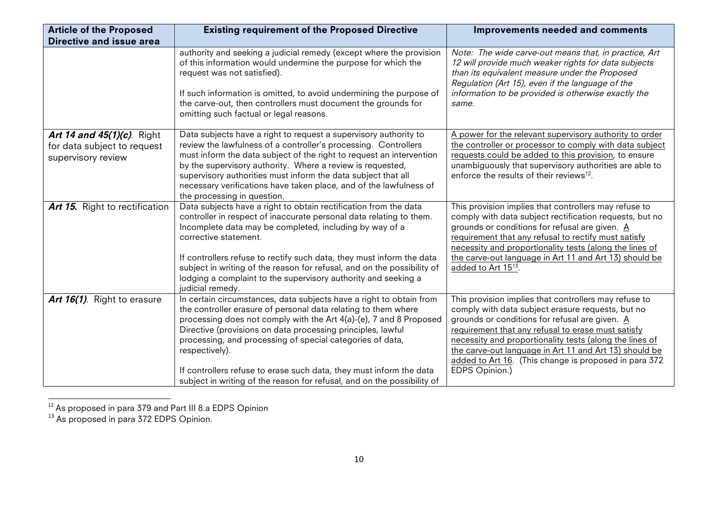| <b>Article of the Proposed</b>    | <b>Existing requirement of the Proposed Directive</b>                                                                                                                                                                                                                                                                                                  | <b>Improvements needed and comments</b>                                                                                                                                                                                                                                             |
|-----------------------------------|--------------------------------------------------------------------------------------------------------------------------------------------------------------------------------------------------------------------------------------------------------------------------------------------------------------------------------------------------------|-------------------------------------------------------------------------------------------------------------------------------------------------------------------------------------------------------------------------------------------------------------------------------------|
| Directive and issue area          |                                                                                                                                                                                                                                                                                                                                                        |                                                                                                                                                                                                                                                                                     |
|                                   | authority and seeking a judicial remedy (except where the provision<br>of this information would undermine the purpose for which the<br>request was not satisfied).<br>If such information is omitted, to avoid undermining the purpose of<br>the carve-out, then controllers must document the grounds for<br>omitting such factual or legal reasons. | Note: The wide carve-out means that, in practice, Art<br>12 will provide much weaker rights for data subjects<br>than its equivalent measure under the Proposed<br>Regulation (Art 15), even if the language of the<br>information to be provided is otherwise exactly the<br>same. |
| <b>Art 14 and 45(1)(c).</b> Right | Data subjects have a right to request a supervisory authority to                                                                                                                                                                                                                                                                                       | A power for the relevant supervisory authority to order                                                                                                                                                                                                                             |
| for data subject to request       | review the lawfulness of a controller's processing. Controllers<br>must inform the data subject of the right to request an intervention                                                                                                                                                                                                                | the controller or processor to comply with data subject<br>requests could be added to this provision, to ensure                                                                                                                                                                     |
| supervisory review                | by the supervisory authority. Where a review is requested,                                                                                                                                                                                                                                                                                             | unambiguously that supervisory authorities are able to                                                                                                                                                                                                                              |
|                                   | supervisory authorities must inform the data subject that all                                                                                                                                                                                                                                                                                          | enforce the results of their reviews <sup>12</sup> .                                                                                                                                                                                                                                |
|                                   | necessary verifications have taken place, and of the lawfulness of                                                                                                                                                                                                                                                                                     |                                                                                                                                                                                                                                                                                     |
| Art 15. Right to rectification    | the processing in question.<br>Data subjects have a right to obtain rectification from the data                                                                                                                                                                                                                                                        | This provision implies that controllers may refuse to                                                                                                                                                                                                                               |
|                                   | controller in respect of inaccurate personal data relating to them.                                                                                                                                                                                                                                                                                    | comply with data subject rectification requests, but no                                                                                                                                                                                                                             |
|                                   | Incomplete data may be completed, including by way of a                                                                                                                                                                                                                                                                                                | grounds or conditions for refusal are given. A                                                                                                                                                                                                                                      |
|                                   | corrective statement.                                                                                                                                                                                                                                                                                                                                  | requirement that any refusal to rectify must satisfy<br>necessity and proportionality tests (along the lines of                                                                                                                                                                     |
|                                   | If controllers refuse to rectify such data, they must inform the data                                                                                                                                                                                                                                                                                  | the carve-out language in Art 11 and Art 13) should be                                                                                                                                                                                                                              |
|                                   | subject in writing of the reason for refusal, and on the possibility of                                                                                                                                                                                                                                                                                | added to Art 15 <sup>13</sup> .                                                                                                                                                                                                                                                     |
|                                   | lodging a complaint to the supervisory authority and seeking a<br>judicial remedy.                                                                                                                                                                                                                                                                     |                                                                                                                                                                                                                                                                                     |
| Art 16(1). Right to erasure       | In certain circumstances, data subjects have a right to obtain from                                                                                                                                                                                                                                                                                    | This provision implies that controllers may refuse to                                                                                                                                                                                                                               |
|                                   | the controller erasure of personal data relating to them where                                                                                                                                                                                                                                                                                         | comply with data subject erasure requests, but no                                                                                                                                                                                                                                   |
|                                   | processing does not comply with the Art 4(a)-(e), 7 and 8 Proposed                                                                                                                                                                                                                                                                                     | grounds or conditions for refusal are given. A                                                                                                                                                                                                                                      |
|                                   | Directive (provisions on data processing principles, lawful<br>processing, and processing of special categories of data,                                                                                                                                                                                                                               | requirement that any refusal to erase must satisfy<br>necessity and proportionality tests (along the lines of                                                                                                                                                                       |
|                                   | respectively).                                                                                                                                                                                                                                                                                                                                         | the carve-out language in Art 11 and Art 13) should be                                                                                                                                                                                                                              |
|                                   |                                                                                                                                                                                                                                                                                                                                                        | added to Art 16. (This change is proposed in para 372                                                                                                                                                                                                                               |
|                                   | If controllers refuse to erase such data, they must inform the data                                                                                                                                                                                                                                                                                    | EDPS Opinion.)                                                                                                                                                                                                                                                                      |
|                                   | subject in writing of the reason for refusal, and on the possibility of                                                                                                                                                                                                                                                                                |                                                                                                                                                                                                                                                                                     |

<sup>&</sup>quot;"""""""""""""""""""""""""""""""""""""""""""""""""""""""""""  $12$  As proposed in para 379 and Part III 8.a EDPS Opinion

<sup>&</sup>lt;sup>13</sup> As proposed in para 372 EDPS Opinion.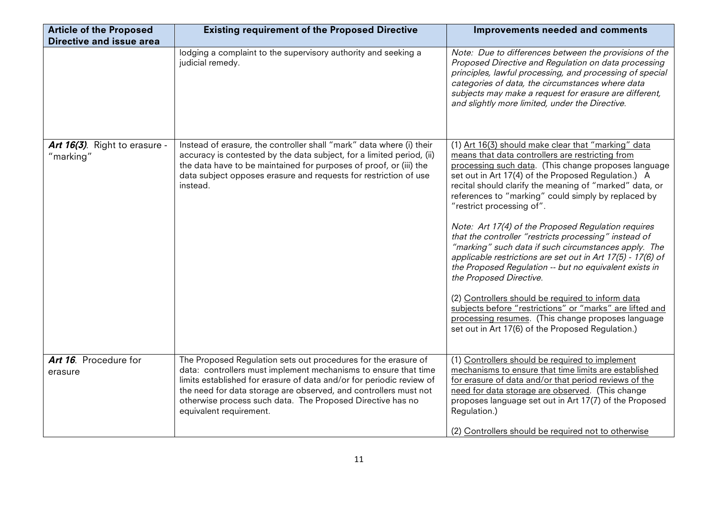| <b>Article of the Proposed</b><br><b>Directive and issue area</b> | <b>Existing requirement of the Proposed Directive</b>                                                                                                                                                                                                                                                                                                                  | <b>Improvements needed and comments</b>                                                                                                                                                                                                                                                                                                                                                                                                                                                                                                                                                                                                                                                                                                                                                                                                                                                                                       |
|-------------------------------------------------------------------|------------------------------------------------------------------------------------------------------------------------------------------------------------------------------------------------------------------------------------------------------------------------------------------------------------------------------------------------------------------------|-------------------------------------------------------------------------------------------------------------------------------------------------------------------------------------------------------------------------------------------------------------------------------------------------------------------------------------------------------------------------------------------------------------------------------------------------------------------------------------------------------------------------------------------------------------------------------------------------------------------------------------------------------------------------------------------------------------------------------------------------------------------------------------------------------------------------------------------------------------------------------------------------------------------------------|
|                                                                   | lodging a complaint to the supervisory authority and seeking a<br>judicial remedy.                                                                                                                                                                                                                                                                                     | Note: Due to differences between the provisions of the<br>Proposed Directive and Regulation on data processing<br>principles, lawful processing, and processing of special<br>categories of data, the circumstances where data<br>subjects may make a request for erasure are different,<br>and slightly more limited, under the Directive.                                                                                                                                                                                                                                                                                                                                                                                                                                                                                                                                                                                   |
| Art 16(3). Right to erasure -<br>"marking"                        | Instead of erasure, the controller shall "mark" data where (i) their<br>accuracy is contested by the data subject, for a limited period, (ii)<br>the data have to be maintained for purposes of proof, or (iii) the<br>data subject opposes erasure and requests for restriction of use<br>instead.                                                                    | (1) Art 16(3) should make clear that "marking" data<br>means that data controllers are restricting from<br>processing such data. (This change proposes language<br>set out in Art 17(4) of the Proposed Regulation.) A<br>recital should clarify the meaning of "marked" data, or<br>references to "marking" could simply by replaced by<br>"restrict processing of".<br>Note: Art 17(4) of the Proposed Regulation requires<br>that the controller "restricts processing" instead of<br>"marking" such data if such circumstances apply. The<br>applicable restrictions are set out in Art 17(5) - 17(6) of<br>the Proposed Regulation -- but no equivalent exists in<br>the Proposed Directive.<br>(2) Controllers should be required to inform data<br>subjects before "restrictions" or "marks" are lifted and<br>processing resumes. (This change proposes language<br>set out in Art 17(6) of the Proposed Regulation.) |
| Art 16. Procedure for<br>erasure                                  | The Proposed Regulation sets out procedures for the erasure of<br>data: controllers must implement mechanisms to ensure that time<br>limits established for erasure of data and/or for periodic review of<br>the need for data storage are observed, and controllers must not<br>otherwise process such data. The Proposed Directive has no<br>equivalent requirement. | (1) Controllers should be required to implement<br>mechanisms to ensure that time limits are established<br>for erasure of data and/or that period reviews of the<br>need for data storage are observed. (This change<br>proposes language set out in Art 17(7) of the Proposed<br>Regulation.)<br>(2) Controllers should be required not to otherwise                                                                                                                                                                                                                                                                                                                                                                                                                                                                                                                                                                        |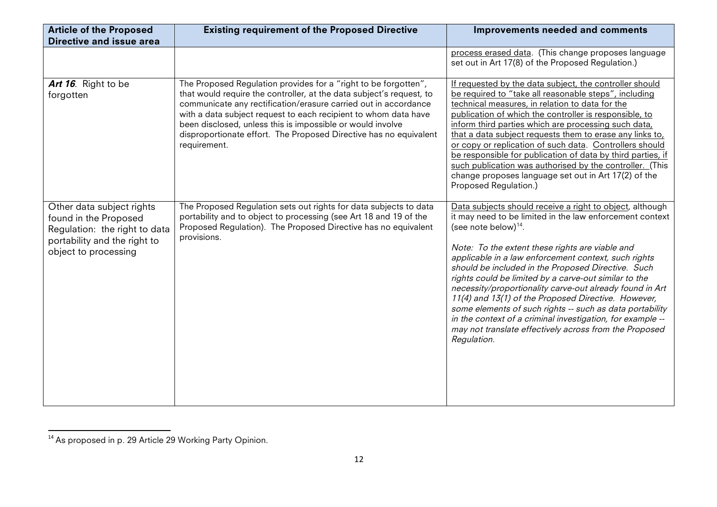| <b>Article of the Proposed</b><br>Directive and issue area                                                                                  | <b>Existing requirement of the Proposed Directive</b>                                                                                                                                                                                                                                                                                                                                                                            | Improvements needed and comments                                                                                                                                                                                                                                                                                                                                                                                                                                                                                                                                                                                                                                                                |
|---------------------------------------------------------------------------------------------------------------------------------------------|----------------------------------------------------------------------------------------------------------------------------------------------------------------------------------------------------------------------------------------------------------------------------------------------------------------------------------------------------------------------------------------------------------------------------------|-------------------------------------------------------------------------------------------------------------------------------------------------------------------------------------------------------------------------------------------------------------------------------------------------------------------------------------------------------------------------------------------------------------------------------------------------------------------------------------------------------------------------------------------------------------------------------------------------------------------------------------------------------------------------------------------------|
|                                                                                                                                             |                                                                                                                                                                                                                                                                                                                                                                                                                                  | process erased data. (This change proposes language<br>set out in Art 17(8) of the Proposed Regulation.)                                                                                                                                                                                                                                                                                                                                                                                                                                                                                                                                                                                        |
| Art 16. Right to be<br>forgotten                                                                                                            | The Proposed Regulation provides for a "right to be forgotten",<br>that would require the controller, at the data subject's request, to<br>communicate any rectification/erasure carried out in accordance<br>with a data subject request to each recipient to whom data have<br>been disclosed, unless this is impossible or would involve<br>disproportionate effort. The Proposed Directive has no equivalent<br>requirement. | If requested by the data subject, the controller should<br>be required to "take all reasonable steps", including<br>technical measures, in relation to data for the<br>publication of which the controller is responsible, to<br>inform third parties which are processing such data,<br>that a data subject requests them to erase any links to,<br>or copy or replication of such data. Controllers should<br>be responsible for publication of data by third parties, if<br>such publication was authorised by the controller. (This<br>change proposes language set out in Art 17(2) of the<br>Proposed Regulation.)                                                                        |
| Other data subject rights<br>found in the Proposed<br>Regulation: the right to data<br>portability and the right to<br>object to processing | The Proposed Regulation sets out rights for data subjects to data<br>portability and to object to processing (see Art 18 and 19 of the<br>Proposed Regulation). The Proposed Directive has no equivalent<br>provisions.                                                                                                                                                                                                          | Data subjects should receive a right to object, although<br>it may need to be limited in the law enforcement context<br>(see note below) $14$ .<br>Note: To the extent these rights are viable and<br>applicable in a law enforcement context, such rights<br>should be included in the Proposed Directive. Such<br>rights could be limited by a carve-out similar to the<br>necessity/proportionality carve-out already found in Art<br>11(4) and 13(1) of the Proposed Directive. However,<br>some elements of such rights -- such as data portability<br>in the context of a criminal investigation, for example --<br>may not translate effectively across from the Proposed<br>Regulation. |

<sup>&</sup>lt;sup>14</sup> As proposed in p. 29 Article 29 Working Party Opinion.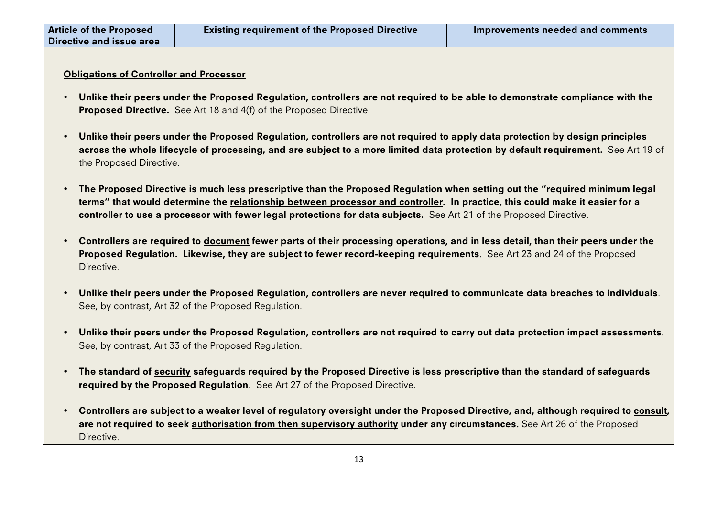## Obligations of Controller and Processor

- Unlike their peers under the Proposed Regulation, controllers are not required to be able to demonstrate compliance with the Proposed Directive. See Art 18 and 4(f) of the Proposed Directive.
- Unlike their peers under the Proposed Regulation, controllers are not required to apply data protection by design principles across the whole lifecycle of processing, and are subject to a more limited data protection by default requirement. See Art 19 of the Proposed Directive.
- The Proposed Directive is much less prescriptive than the Proposed Regulation when setting out the "required minimum legal terms" that would determine the relationship between processor and controller. In practice, this could make it easier for a controller to use a processor with fewer legal protections for data subjects. See Art 21 of the Proposed Directive.
- Controllers are required to document fewer parts of their processing operations, and in less detail, than their peers under the Proposed Regulation. Likewise, they are subject to fewer record-keeping requirements. See Art 23 and 24 of the Proposed **Directive**
- Unlike their peers under the Proposed Regulation, controllers are never required to communicate data breaches to individuals. See, by contrast, Art 32 of the Proposed Regulation.
- Unlike their peers under the Proposed Regulation, controllers are not required to carry out data protection impact assessments. See, by contrast, Art 33 of the Proposed Regulation.
- The standard of security safeguards required by the Proposed Directive is less prescriptive than the standard of safeguards required by the Proposed Regulation. See Art 27 of the Proposed Directive.
- Controllers are subject to a weaker level of regulatory oversight under the Proposed Directive, and, although required to consult, are not required to seek authorisation from then supervisory authority under any circumstances. See Art 26 of the Proposed Directive.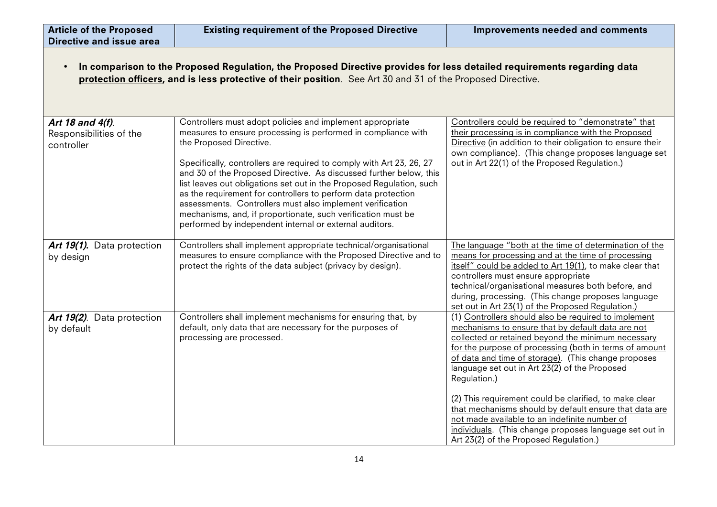| <b>Article of the Proposed</b><br><b>Directive and issue area</b> | <b>Existing requirement of the Proposed Directive</b>                                                                                                                                                                                                                                                                                                                                                                                                                                                                                                                                                                                | Improvements needed and comments                                                                                                                                                                                                                                                                                                                                                                                                                                                                                                                                                                                           |
|-------------------------------------------------------------------|--------------------------------------------------------------------------------------------------------------------------------------------------------------------------------------------------------------------------------------------------------------------------------------------------------------------------------------------------------------------------------------------------------------------------------------------------------------------------------------------------------------------------------------------------------------------------------------------------------------------------------------|----------------------------------------------------------------------------------------------------------------------------------------------------------------------------------------------------------------------------------------------------------------------------------------------------------------------------------------------------------------------------------------------------------------------------------------------------------------------------------------------------------------------------------------------------------------------------------------------------------------------------|
|                                                                   | In comparison to the Proposed Regulation, the Proposed Directive provides for less detailed requirements regarding data<br>protection officers, and is less protective of their position. See Art 30 and 31 of the Proposed Directive.                                                                                                                                                                                                                                                                                                                                                                                               |                                                                                                                                                                                                                                                                                                                                                                                                                                                                                                                                                                                                                            |
| Art 18 and 4(f).<br>Responsibilities of the<br>controller         | Controllers must adopt policies and implement appropriate<br>measures to ensure processing is performed in compliance with<br>the Proposed Directive.<br>Specifically, controllers are required to comply with Art 23, 26, 27<br>and 30 of the Proposed Directive. As discussed further below, this<br>list leaves out obligations set out in the Proposed Regulation, such<br>as the requirement for controllers to perform data protection<br>assessments. Controllers must also implement verification<br>mechanisms, and, if proportionate, such verification must be<br>performed by independent internal or external auditors. | Controllers could be required to "demonstrate" that<br>their processing is in compliance with the Proposed<br>Directive (in addition to their obligation to ensure their<br>own compliance). (This change proposes language set<br>out in Art 22(1) of the Proposed Regulation.)                                                                                                                                                                                                                                                                                                                                           |
| Art 19(1). Data protection<br>by design                           | Controllers shall implement appropriate technical/organisational<br>measures to ensure compliance with the Proposed Directive and to<br>protect the rights of the data subject (privacy by design).                                                                                                                                                                                                                                                                                                                                                                                                                                  | The language "both at the time of determination of the<br>means for processing and at the time of processing<br>itself" could be added to Art 19(1), to make clear that<br>controllers must ensure appropriate<br>technical/organisational measures both before, and<br>during, processing. (This change proposes language<br>set out in Art 23(1) of the Proposed Regulation.)                                                                                                                                                                                                                                            |
| Art 19(2). Data protection<br>by default                          | Controllers shall implement mechanisms for ensuring that, by<br>default, only data that are necessary for the purposes of<br>processing are processed.                                                                                                                                                                                                                                                                                                                                                                                                                                                                               | (1) Controllers should also be required to implement<br>mechanisms to ensure that by default data are not<br>collected or retained beyond the minimum necessary<br>for the purpose of processing (both in terms of amount<br>of data and time of storage). (This change proposes<br>language set out in Art 23(2) of the Proposed<br>Regulation.)<br>(2) This requirement could be clarified, to make clear<br>that mechanisms should by default ensure that data are<br>not made available to an indefinite number of<br>individuals. (This change proposes language set out in<br>Art 23(2) of the Proposed Regulation.) |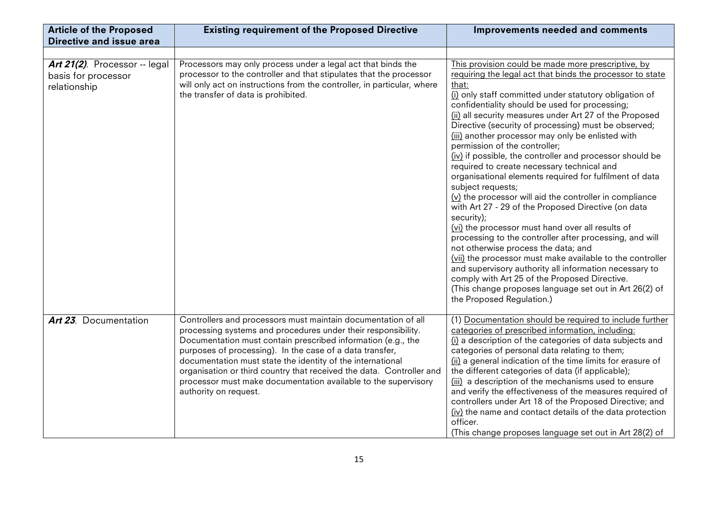| <b>Article of the Proposed</b>                                       | <b>Existing requirement of the Proposed Directive</b>                                                                                                                                                                                                                                                                                                                                                                                                                                       | <b>Improvements needed and comments</b>                                                                                                                                                                                                                                                                                                                                                                                                                                                                                                                                                                                                                                                                                                                                                                                                                                                                                                                                                                                                                                                                                                                                                        |
|----------------------------------------------------------------------|---------------------------------------------------------------------------------------------------------------------------------------------------------------------------------------------------------------------------------------------------------------------------------------------------------------------------------------------------------------------------------------------------------------------------------------------------------------------------------------------|------------------------------------------------------------------------------------------------------------------------------------------------------------------------------------------------------------------------------------------------------------------------------------------------------------------------------------------------------------------------------------------------------------------------------------------------------------------------------------------------------------------------------------------------------------------------------------------------------------------------------------------------------------------------------------------------------------------------------------------------------------------------------------------------------------------------------------------------------------------------------------------------------------------------------------------------------------------------------------------------------------------------------------------------------------------------------------------------------------------------------------------------------------------------------------------------|
| <b>Directive and issue area</b>                                      |                                                                                                                                                                                                                                                                                                                                                                                                                                                                                             |                                                                                                                                                                                                                                                                                                                                                                                                                                                                                                                                                                                                                                                                                                                                                                                                                                                                                                                                                                                                                                                                                                                                                                                                |
|                                                                      |                                                                                                                                                                                                                                                                                                                                                                                                                                                                                             |                                                                                                                                                                                                                                                                                                                                                                                                                                                                                                                                                                                                                                                                                                                                                                                                                                                                                                                                                                                                                                                                                                                                                                                                |
| Art 21(2). Processor -- legal<br>basis for processor<br>relationship | Processors may only process under a legal act that binds the<br>processor to the controller and that stipulates that the processor<br>will only act on instructions from the controller, in particular, where<br>the transfer of data is prohibited.                                                                                                                                                                                                                                        | This provision could be made more prescriptive, by<br>requiring the legal act that binds the processor to state<br>that:<br>(i) only staff committed under statutory obligation of<br>confidentiality should be used for processing;<br>(ii) all security measures under Art 27 of the Proposed<br>Directive (security of processing) must be observed;<br>(iii) another processor may only be enlisted with<br>permission of the controller;<br>(iv) if possible, the controller and processor should be<br>required to create necessary technical and<br>organisational elements required for fulfilment of data<br>subject requests;<br>$(v)$ the processor will aid the controller in compliance<br>with Art 27 - 29 of the Proposed Directive (on data<br>security);<br>(vi) the processor must hand over all results of<br>processing to the controller after processing, and will<br>not otherwise process the data; and<br>(vii) the processor must make available to the controller<br>and supervisory authority all information necessary to<br>comply with Art 25 of the Proposed Directive.<br>(This change proposes language set out in Art 26(2) of<br>the Proposed Regulation.) |
| <b>Art 23.</b> Documentation                                         | Controllers and processors must maintain documentation of all<br>processing systems and procedures under their responsibility.<br>Documentation must contain prescribed information (e.g., the<br>purposes of processing). In the case of a data transfer,<br>documentation must state the identity of the international<br>organisation or third country that received the data. Controller and<br>processor must make documentation available to the supervisory<br>authority on request. | (1) Documentation should be required to include further<br>categories of prescribed information, including:<br>(i) a description of the categories of data subjects and<br>categories of personal data relating to them;<br>(ii) a general indication of the time limits for erasure of<br>the different categories of data (if applicable);<br>(iii) a description of the mechanisms used to ensure<br>and verify the effectiveness of the measures required of<br>controllers under Art 18 of the Proposed Directive; and<br>(iv) the name and contact details of the data protection<br>officer.<br>(This change proposes language set out in Art 28(2) of                                                                                                                                                                                                                                                                                                                                                                                                                                                                                                                                  |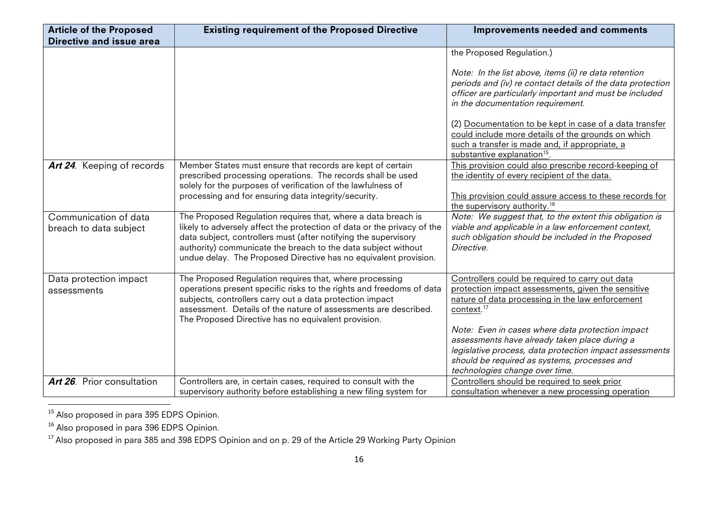| <b>Existing requirement of the Proposed Directive</b>                                                                                                                                                                                                                                                                                            | <b>Improvements needed and comments</b>                                                                                                                                                                                                                                                                                                                                                                     |
|--------------------------------------------------------------------------------------------------------------------------------------------------------------------------------------------------------------------------------------------------------------------------------------------------------------------------------------------------|-------------------------------------------------------------------------------------------------------------------------------------------------------------------------------------------------------------------------------------------------------------------------------------------------------------------------------------------------------------------------------------------------------------|
|                                                                                                                                                                                                                                                                                                                                                  |                                                                                                                                                                                                                                                                                                                                                                                                             |
|                                                                                                                                                                                                                                                                                                                                                  | the Proposed Regulation.)                                                                                                                                                                                                                                                                                                                                                                                   |
|                                                                                                                                                                                                                                                                                                                                                  | Note: In the list above, items (ii) re data retention<br>periods and (iv) re contact details of the data protection<br>officer are particularly important and must be included                                                                                                                                                                                                                              |
|                                                                                                                                                                                                                                                                                                                                                  | in the documentation requirement.                                                                                                                                                                                                                                                                                                                                                                           |
|                                                                                                                                                                                                                                                                                                                                                  | (2) Documentation to be kept in case of a data transfer<br>could include more details of the grounds on which                                                                                                                                                                                                                                                                                               |
|                                                                                                                                                                                                                                                                                                                                                  | such a transfer is made and, if appropriate, a<br>substantive explanation <sup>15</sup> .                                                                                                                                                                                                                                                                                                                   |
| Member States must ensure that records are kept of certain<br>prescribed processing operations. The records shall be used                                                                                                                                                                                                                        | This provision could also prescribe record-keeping of<br>the identity of every recipient of the data.                                                                                                                                                                                                                                                                                                       |
| processing and for ensuring data integrity/security.                                                                                                                                                                                                                                                                                             | This provision could assure access to these records for<br>the supervisory authority. <sup>16</sup>                                                                                                                                                                                                                                                                                                         |
| The Proposed Regulation requires that, where a data breach is<br>likely to adversely affect the protection of data or the privacy of the<br>data subject, controllers must (after notifying the supervisory<br>authority) communicate the breach to the data subject without<br>undue delay. The Proposed Directive has no equivalent provision. | Note: We suggest that, to the extent this obligation is<br>viable and applicable in a law enforcement context,<br>such obligation should be included in the Proposed<br>Directive.                                                                                                                                                                                                                          |
| The Proposed Regulation requires that, where processing                                                                                                                                                                                                                                                                                          | Controllers could be required to carry out data                                                                                                                                                                                                                                                                                                                                                             |
|                                                                                                                                                                                                                                                                                                                                                  | protection impact assessments, given the sensitive                                                                                                                                                                                                                                                                                                                                                          |
|                                                                                                                                                                                                                                                                                                                                                  | nature of data processing in the law enforcement<br>context. <sup>17</sup>                                                                                                                                                                                                                                                                                                                                  |
| The Proposed Directive has no equivalent provision.                                                                                                                                                                                                                                                                                              |                                                                                                                                                                                                                                                                                                                                                                                                             |
|                                                                                                                                                                                                                                                                                                                                                  | Note: Even in cases where data protection impact                                                                                                                                                                                                                                                                                                                                                            |
|                                                                                                                                                                                                                                                                                                                                                  | assessments have already taken place during a                                                                                                                                                                                                                                                                                                                                                               |
|                                                                                                                                                                                                                                                                                                                                                  | legislative process, data protection impact assessments                                                                                                                                                                                                                                                                                                                                                     |
|                                                                                                                                                                                                                                                                                                                                                  | should be required as systems, processes and                                                                                                                                                                                                                                                                                                                                                                |
|                                                                                                                                                                                                                                                                                                                                                  | technologies change over time.<br>Controllers should be required to seek prior                                                                                                                                                                                                                                                                                                                              |
|                                                                                                                                                                                                                                                                                                                                                  | consultation whenever a new processing operation                                                                                                                                                                                                                                                                                                                                                            |
|                                                                                                                                                                                                                                                                                                                                                  | solely for the purposes of verification of the lawfulness of<br>operations present specific risks to the rights and freedoms of data<br>subjects, controllers carry out a data protection impact<br>assessment. Details of the nature of assessments are described.<br>Controllers are, in certain cases, required to consult with the<br>supervisory authority before establishing a new filing system for |

<sup>&</sup>lt;sup>15</sup> Also proposed in para 395 EDPS Opinion.

<sup>&</sup>lt;sup>16</sup> Also proposed in para 396 EDPS Opinion.

 $^{17}$  Also proposed in para 385 and 398 EDPS Opinion and on p. 29 of the Article 29 Working Party Opinion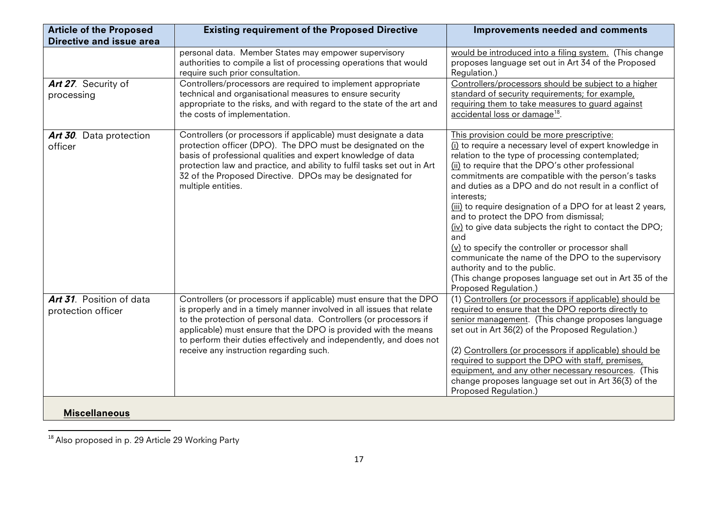| <b>Article of the Proposed</b><br><b>Directive and issue area</b> | <b>Existing requirement of the Proposed Directive</b>                                                                                                                                                                                                                                                                                                                                                 | Improvements needed and comments                                                                                                                                                                                                                                                                                                                                                                                                                                                                                                                                                                                                                                                                                                                       |
|-------------------------------------------------------------------|-------------------------------------------------------------------------------------------------------------------------------------------------------------------------------------------------------------------------------------------------------------------------------------------------------------------------------------------------------------------------------------------------------|--------------------------------------------------------------------------------------------------------------------------------------------------------------------------------------------------------------------------------------------------------------------------------------------------------------------------------------------------------------------------------------------------------------------------------------------------------------------------------------------------------------------------------------------------------------------------------------------------------------------------------------------------------------------------------------------------------------------------------------------------------|
| Art 27. Security of<br>processing                                 | personal data. Member States may empower supervisory<br>authorities to compile a list of processing operations that would<br>require such prior consultation.<br>Controllers/processors are required to implement appropriate<br>technical and organisational measures to ensure security<br>appropriate to the risks, and with regard to the state of the art and<br>the costs of implementation.    | would be introduced into a filing system. (This change<br>proposes language set out in Art 34 of the Proposed<br>Regulation.)<br>Controllers/processors should be subject to a higher<br>standard of security requirements; for example,<br>requiring them to take measures to guard against<br>accidental loss or damage <sup>18</sup> .                                                                                                                                                                                                                                                                                                                                                                                                              |
| Art 30. Data protection<br>officer                                | Controllers (or processors if applicable) must designate a data<br>protection officer (DPO). The DPO must be designated on the<br>basis of professional qualities and expert knowledge of data<br>protection law and practice, and ability to fulfil tasks set out in Art<br>32 of the Proposed Directive. DPOs may be designated for<br>multiple entities.                                           | This provision could be more prescriptive:<br>(i) to require a necessary level of expert knowledge in<br>relation to the type of processing contemplated;<br>(ii) to require that the DPO's other professional<br>commitments are compatible with the person's tasks<br>and duties as a DPO and do not result in a conflict of<br>interests;<br>(iii) to require designation of a DPO for at least 2 years,<br>and to protect the DPO from dismissal;<br>(iv) to give data subjects the right to contact the DPO;<br>and<br>(v) to specify the controller or processor shall<br>communicate the name of the DPO to the supervisory<br>authority and to the public.<br>(This change proposes language set out in Art 35 of the<br>Proposed Regulation.) |
| Art 31. Position of data<br>protection officer                    | Controllers (or processors if applicable) must ensure that the DPO<br>is properly and in a timely manner involved in all issues that relate<br>to the protection of personal data. Controllers (or processors if<br>applicable) must ensure that the DPO is provided with the means<br>to perform their duties effectively and independently, and does not<br>receive any instruction regarding such. | (1) Controllers (or processors if applicable) should be<br>required to ensure that the DPO reports directly to<br>senior management. (This change proposes language<br>set out in Art 36(2) of the Proposed Regulation.)<br>(2) Controllers (or processors if applicable) should be<br>required to support the DPO with staff, premises,<br>equipment, and any other necessary resources. (This<br>change proposes language set out in Art 36(3) of the<br>Proposed Regulation.)                                                                                                                                                                                                                                                                       |
| <b>Miscellaneous</b>                                              |                                                                                                                                                                                                                                                                                                                                                                                                       |                                                                                                                                                                                                                                                                                                                                                                                                                                                                                                                                                                                                                                                                                                                                                        |

<sup>&</sup>quot;"""""""""""""""""""""""""""""""""""""""""""""""""""""""""""  $^{18}$  Also proposed in p. 29 Article 29 Working Party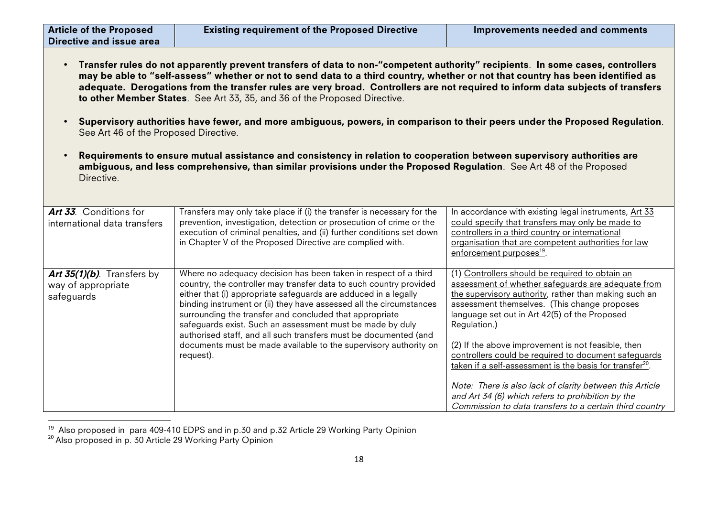| <b>Article of the Proposed</b><br>Directive and issue area                                                                                                                                                                                                                                                                                                                                                                                                                        | <b>Existing requirement of the Proposed Directive</b>                                                                                                                                                                                                                                                                                                                                                                                                                                                                                                        | <b>Improvements needed and comments</b>                                                                                                                                                                                                                                                                                                                                                                                                                               |  |
|-----------------------------------------------------------------------------------------------------------------------------------------------------------------------------------------------------------------------------------------------------------------------------------------------------------------------------------------------------------------------------------------------------------------------------------------------------------------------------------|--------------------------------------------------------------------------------------------------------------------------------------------------------------------------------------------------------------------------------------------------------------------------------------------------------------------------------------------------------------------------------------------------------------------------------------------------------------------------------------------------------------------------------------------------------------|-----------------------------------------------------------------------------------------------------------------------------------------------------------------------------------------------------------------------------------------------------------------------------------------------------------------------------------------------------------------------------------------------------------------------------------------------------------------------|--|
| Transfer rules do not apparently prevent transfers of data to non-"competent authority" recipients. In some cases, controllers<br>may be able to "self-assess" whether or not to send data to a third country, whether or not that country has been identified as<br>adequate. Derogations from the transfer rules are very broad. Controllers are not required to inform data subjects of transfers<br>to other Member States. See Art 33, 35, and 36 of the Proposed Directive. |                                                                                                                                                                                                                                                                                                                                                                                                                                                                                                                                                              |                                                                                                                                                                                                                                                                                                                                                                                                                                                                       |  |
| Supervisory authorities have fewer, and more ambiguous, powers, in comparison to their peers under the Proposed Regulation.<br>See Art 46 of the Proposed Directive.                                                                                                                                                                                                                                                                                                              |                                                                                                                                                                                                                                                                                                                                                                                                                                                                                                                                                              |                                                                                                                                                                                                                                                                                                                                                                                                                                                                       |  |
| Requirements to ensure mutual assistance and consistency in relation to cooperation between supervisory authorities are<br>ambiguous, and less comprehensive, than similar provisions under the Proposed Regulation. See Art 48 of the Proposed<br>Directive.                                                                                                                                                                                                                     |                                                                                                                                                                                                                                                                                                                                                                                                                                                                                                                                                              |                                                                                                                                                                                                                                                                                                                                                                                                                                                                       |  |
| Art 33. Conditions for<br>international data transfers                                                                                                                                                                                                                                                                                                                                                                                                                            | Transfers may only take place if (i) the transfer is necessary for the<br>prevention, investigation, detection or prosecution of crime or the<br>execution of criminal penalties, and (ii) further conditions set down<br>in Chapter V of the Proposed Directive are complied with.                                                                                                                                                                                                                                                                          | In accordance with existing legal instruments, Art 33<br>could specify that transfers may only be made to<br>controllers in a third country or international<br>organisation that are competent authorities for law<br>enforcement purposes <sup>19</sup> .                                                                                                                                                                                                           |  |
| Art 35(1)(b). Transfers by<br>way of appropriate<br>safeguards                                                                                                                                                                                                                                                                                                                                                                                                                    | Where no adequacy decision has been taken in respect of a third<br>country, the controller may transfer data to such country provided<br>either that (i) appropriate safeguards are adduced in a legally<br>binding instrument or (ii) they have assessed all the circumstances<br>surrounding the transfer and concluded that appropriate<br>safeguards exist. Such an assessment must be made by duly<br>authorised staff, and all such transfers must be documented (and<br>documents must be made available to the supervisory authority on<br>request). | (1) Controllers should be required to obtain an<br>assessment of whether safeguards are adequate from<br>the supervisory authority, rather than making such an<br>assessment themselves. (This change proposes<br>language set out in Art 42(5) of the Proposed<br>Regulation.)<br>(2) If the above improvement is not feasible, then<br>controllers could be required to document safeguards<br>taken if a self-assessment is the basis for transfer <sup>20</sup> . |  |
|                                                                                                                                                                                                                                                                                                                                                                                                                                                                                   |                                                                                                                                                                                                                                                                                                                                                                                                                                                                                                                                                              | Note: There is also lack of clarity between this Article<br>and Art 34 (6) which refers to prohibition by the<br>Commission to data transfers to a certain third country                                                                                                                                                                                                                                                                                              |  |

<sup>&</sup>lt;sup>19</sup> Also proposed in para 409-410 EDPS and in p.30 and p.32 Article 29 Working Party Opinion<br><sup>20</sup> Also proposed in p. 30 Article 29 Working Party Opinion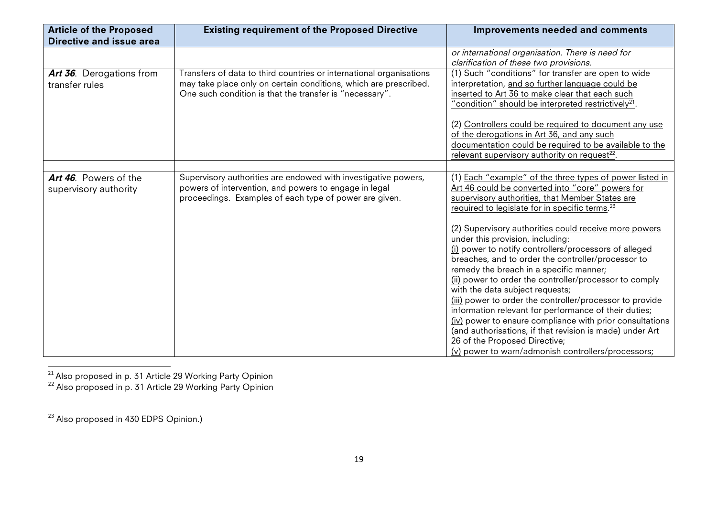| <b>Article of the Proposed</b><br>Directive and issue area | <b>Existing requirement of the Proposed Directive</b>                                                                                                                                              | Improvements needed and comments                                                                                                                                                                                                                                                                                                                                                                                                                                                                                                                                                                                                                                                                                                                                                                                                                                                                                      |
|------------------------------------------------------------|----------------------------------------------------------------------------------------------------------------------------------------------------------------------------------------------------|-----------------------------------------------------------------------------------------------------------------------------------------------------------------------------------------------------------------------------------------------------------------------------------------------------------------------------------------------------------------------------------------------------------------------------------------------------------------------------------------------------------------------------------------------------------------------------------------------------------------------------------------------------------------------------------------------------------------------------------------------------------------------------------------------------------------------------------------------------------------------------------------------------------------------|
| Art 36. Derogations from<br>transfer rules                 | Transfers of data to third countries or international organisations<br>may take place only on certain conditions, which are prescribed.<br>One such condition is that the transfer is "necessary". | or international organisation. There is need for<br>clarification of these two provisions.<br>(1) Such "conditions" for transfer are open to wide<br>interpretation, and so further language could be<br>inserted to Art 36 to make clear that each such<br>"condition" should be interpreted restrictively <sup>21</sup> .                                                                                                                                                                                                                                                                                                                                                                                                                                                                                                                                                                                           |
|                                                            |                                                                                                                                                                                                    | (2) Controllers could be required to document any use<br>of the derogations in Art 36, and any such<br>documentation could be required to be available to the<br>relevant supervisory authority on request <sup>22</sup> .                                                                                                                                                                                                                                                                                                                                                                                                                                                                                                                                                                                                                                                                                            |
| Art 46. Powers of the<br>supervisory authority             | Supervisory authorities are endowed with investigative powers,<br>powers of intervention, and powers to engage in legal<br>proceedings. Examples of each type of power are given.                  | (1) Each "example" of the three types of power listed in<br>Art 46 could be converted into "core" powers for<br>supervisory authorities, that Member States are<br>required to legislate for in specific terms. <sup>23</sup><br>(2) Supervisory authorities could receive more powers<br>under this provision, including:<br>(i) power to notify controllers/processors of alleged<br>breaches, and to order the controller/processor to<br>remedy the breach in a specific manner;<br>(ii) power to order the controller/processor to comply<br>with the data subject requests;<br>(iii) power to order the controller/processor to provide<br>information relevant for performance of their duties;<br>(iv) power to ensure compliance with prior consultations<br>(and authorisations, if that revision is made) under Art<br>26 of the Proposed Directive;<br>(v) power to warn/admonish controllers/processors; |

"""""""""""""""""""""""""""""""""""""""""""""""""""""""""""" <sup>21</sup> Also proposed in p. 31 Article 29 Working Party Opinion

<sup>22</sup> Also proposed in p. 31 Article 29 Working Party Opinion

<sup>&</sup>lt;sup>23</sup> Also proposed in 430 EDPS Opinion.)